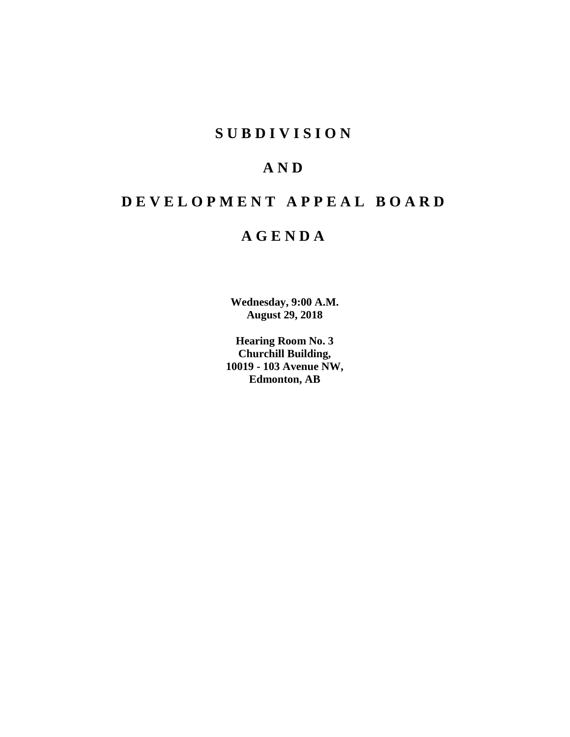# **SUBDIVISION**

# **AND**

# **DEVELOPMENT APPEAL BOARD**

# **AGENDA**

**Wednesday, 9:00 A.M. August 29, 2018**

**Hearing Room No. 3 Churchill Building, 10019 - 103 Avenue NW, Edmonton, AB**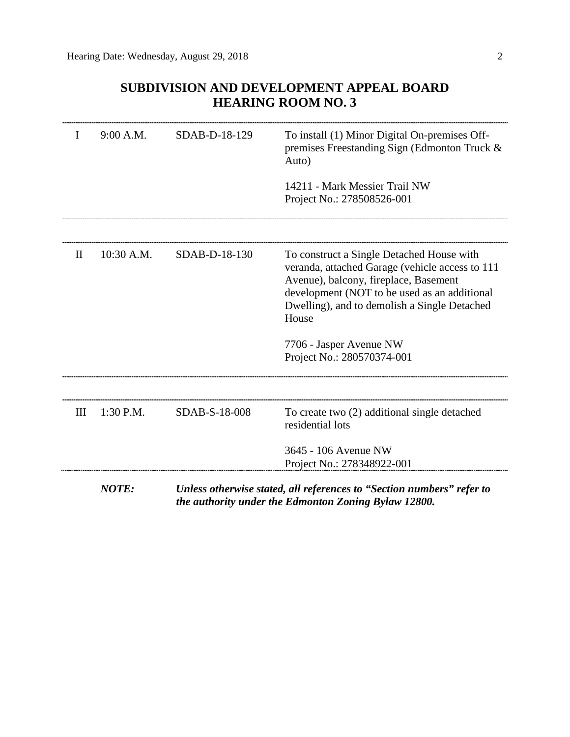# **SUBDIVISION AND DEVELOPMENT APPEAL BOARD HEARING ROOM NO. 3**

| I            | 9:00 A.M.  | SDAB-D-18-129 | To install (1) Minor Digital On-premises Off-<br>premises Freestanding Sign (Edmonton Truck &<br>Auto)                                                                                                                                         |  |
|--------------|------------|---------------|------------------------------------------------------------------------------------------------------------------------------------------------------------------------------------------------------------------------------------------------|--|
|              |            |               | 14211 - Mark Messier Trail NW<br>Project No.: 278508526-001                                                                                                                                                                                    |  |
|              |            |               |                                                                                                                                                                                                                                                |  |
| $\mathbf{H}$ | 10:30 A.M. | SDAB-D-18-130 | To construct a Single Detached House with<br>veranda, attached Garage (vehicle access to 111<br>Avenue), balcony, fireplace, Basement<br>development (NOT to be used as an additional<br>Dwelling), and to demolish a Single Detached<br>House |  |
|              |            |               | 7706 - Jasper Avenue NW<br>Project No.: 280570374-001                                                                                                                                                                                          |  |
|              |            |               |                                                                                                                                                                                                                                                |  |
| III          | 1:30 P.M.  | SDAB-S-18-008 | To create two (2) additional single detached<br>residential lots                                                                                                                                                                               |  |
|              |            |               | 3645 - 106 Avenue NW                                                                                                                                                                                                                           |  |
|              |            |               | Project No.: 278348922-001                                                                                                                                                                                                                     |  |
|              | NOTE:      |               | Unless otherwise stated, all references to "Section numbers" refer to<br>the authority under the Edmonton Zoning Bylaw 12800.                                                                                                                  |  |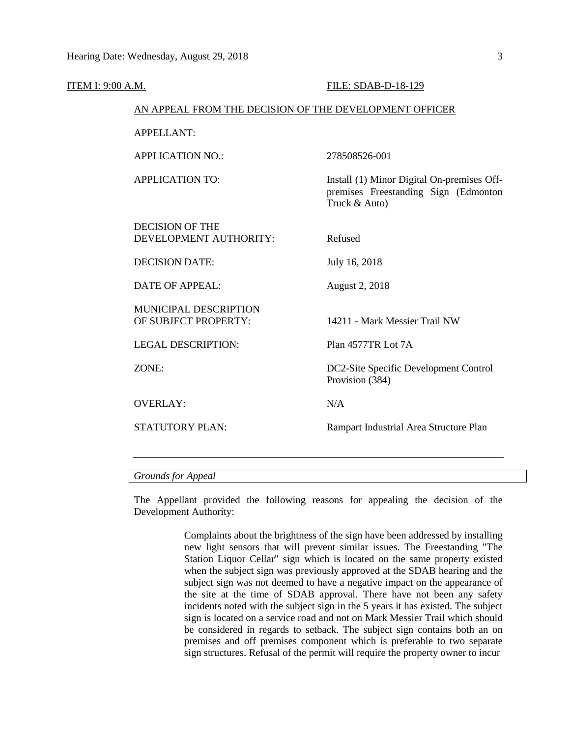| ITEM I: 9:00 A.M.                                    | FILE: SDAB-D-18-129                                                                                 |  |  |  |  |
|------------------------------------------------------|-----------------------------------------------------------------------------------------------------|--|--|--|--|
|                                                      | AN APPEAL FROM THE DECISION OF THE DEVELOPMENT OFFICER                                              |  |  |  |  |
| <b>APPELLANT:</b>                                    |                                                                                                     |  |  |  |  |
| <b>APPLICATION NO.:</b>                              | 278508526-001                                                                                       |  |  |  |  |
| <b>APPLICATION TO:</b>                               | Install (1) Minor Digital On-premises Off-<br>premises Freestanding Sign (Edmonton<br>Truck & Auto) |  |  |  |  |
| <b>DECISION OF THE</b><br>DEVELOPMENT AUTHORITY:     | Refused                                                                                             |  |  |  |  |
| <b>DECISION DATE:</b>                                | July 16, 2018                                                                                       |  |  |  |  |
| <b>DATE OF APPEAL:</b>                               | August 2, 2018                                                                                      |  |  |  |  |
| <b>MUNICIPAL DESCRIPTION</b><br>OF SUBJECT PROPERTY: | 14211 - Mark Messier Trail NW                                                                       |  |  |  |  |
| <b>LEGAL DESCRIPTION:</b>                            | Plan 4577TR Lot 7A                                                                                  |  |  |  |  |
| ZONE:                                                | DC2-Site Specific Development Control<br>Provision (384)                                            |  |  |  |  |
| <b>OVERLAY:</b>                                      | N/A                                                                                                 |  |  |  |  |
| <b>STATUTORY PLAN:</b>                               | Rampart Industrial Area Structure Plan                                                              |  |  |  |  |
|                                                      |                                                                                                     |  |  |  |  |

*Grounds for Appeal*

The Appellant provided the following reasons for appealing the decision of the Development Authority:

> Complaints about the brightness of the sign have been addressed by installing new light sensors that will prevent similar issues. The Freestanding "The Station Liquor Cellar" sign which is located on the same property existed when the subject sign was previously approved at the SDAB hearing and the subject sign was not deemed to have a negative impact on the appearance of the site at the time of SDAB approval. There have not been any safety incidents noted with the subject sign in the 5 years it has existed. The subject sign is located on a service road and not on Mark Messier Trail which should be considered in regards to setback. The subject sign contains both an on premises and off premises component which is preferable to two separate sign structures. Refusal of the permit will require the property owner to incur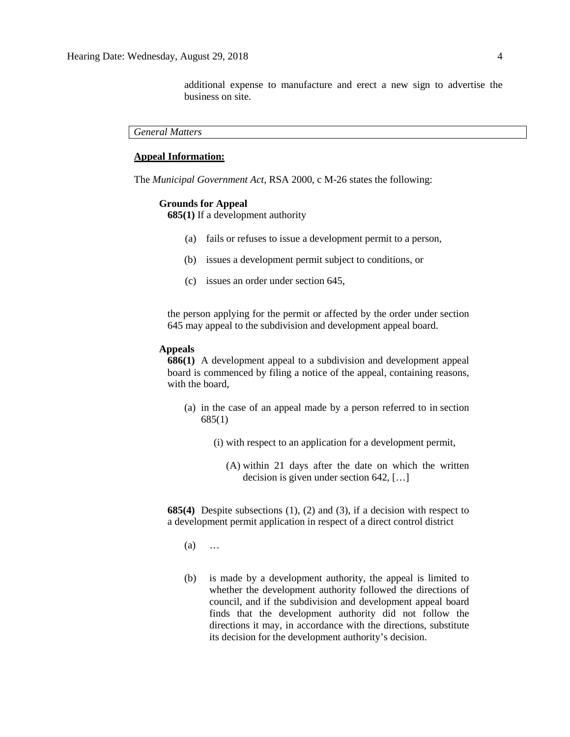additional expense to manufacture and erect a new sign to advertise the business on site.

*General Matters*

# **Appeal Information:**

The *Municipal Government Act*, RSA 2000, c M-26 states the following:

#### **Grounds for Appeal**

**685(1)** If a development authority

- (a) fails or refuses to issue a development permit to a person,
- (b) issues a development permit subject to conditions, or
- (c) issues an order under section 645,

the person applying for the permit or affected by the order under section 645 may appeal to the subdivision and development appeal board.

# **Appeals**

**686(1)** A development appeal to a subdivision and development appeal board is commenced by filing a notice of the appeal, containing reasons, with the board,

- (a) in the case of an appeal made by a person referred to in section 685(1)
	- (i) with respect to an application for a development permit,
		- (A) within 21 days after the date on which the written decision is given under section 642, […]

**685(4)** Despite subsections (1), (2) and (3), if a decision with respect to a development permit application in respect of a direct control district

- (a) …
- (b) is made by a development authority, the appeal is limited to whether the development authority followed the directions of council, and if the subdivision and development appeal board finds that the development authority did not follow the directions it may, in accordance with the directions, substitute its decision for the development authority's decision.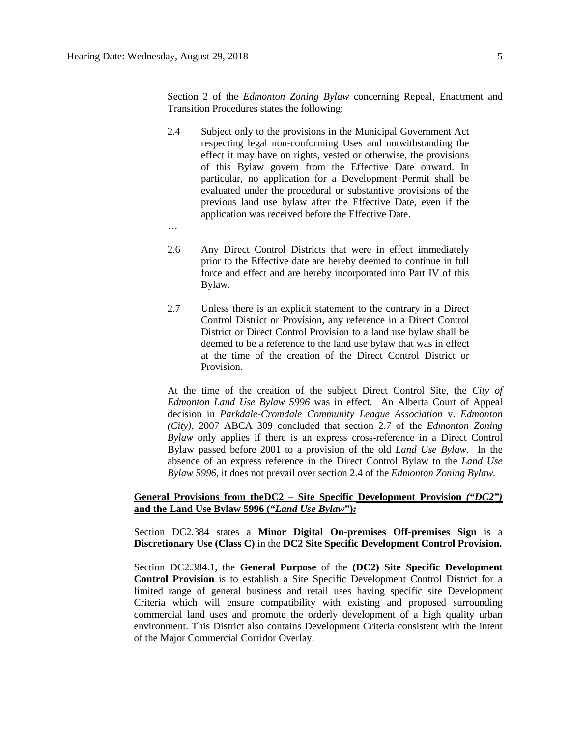2.4 Subject only to the provisions in the Municipal Government Act respecting legal non-conforming Uses and notwithstanding the effect it may have on rights, vested or otherwise, the provisions of this Bylaw govern from the Effective Date onward. In particular, no application for a Development Permit shall be evaluated under the procedural or substantive provisions of the previous land use bylaw after the Effective Date, even if the application was received before the Effective Date.

Transition Procedures states the following:

- …
- 2.6 Any Direct Control Districts that were in effect immediately prior to the Effective date are hereby deemed to continue in full force and effect and are hereby incorporated into Part IV of this Bylaw.
- 2.7 Unless there is an explicit statement to the contrary in a Direct Control District or Provision, any reference in a Direct Control District or Direct Control Provision to a land use bylaw shall be deemed to be a reference to the land use bylaw that was in effect at the time of the creation of the Direct Control District or Provision.

At the time of the creation of the subject Direct Control Site, the *City of Edmonton Land Use Bylaw 5996* was in effect. An Alberta Court of Appeal decision in *Parkdale-Cromdale Community League Association* v. *Edmonton (City),* 2007 ABCA 309 concluded that section 2.7 of the *Edmonton Zoning Bylaw* only applies if there is an express cross-reference in a Direct Control Bylaw passed before 2001 to a provision of the old *Land Use Bylaw*. In the absence of an express reference in the Direct Control Bylaw to the *Land Use Bylaw 5996*, it does not prevail over section 2.4 of the *Edmonton Zoning Bylaw.*

# **General Provisions from theDC2 – Site Specific Development Provision** *("DC2")*  **and the Land Use Bylaw 5996 ("***Land Use Bylaw***")***:*

Section DC2.384 states a **Minor Digital On-premises Off-premises Sign** is a **Discretionary Use (Class C)** in the **DC2 Site Specific Development Control Provision.** 

Section DC2.384.1, the **General Purpose** of the **(DC2) Site Specific Development Control Provision** is to establish a Site Specific Development Control District for a limited range of general business and retail uses having specific site Development Criteria which will ensure compatibility with existing and proposed surrounding commercial land uses and promote the orderly development of a high quality urban environment. This District also contains Development Criteria consistent with the intent of the Major Commercial Corridor Overlay.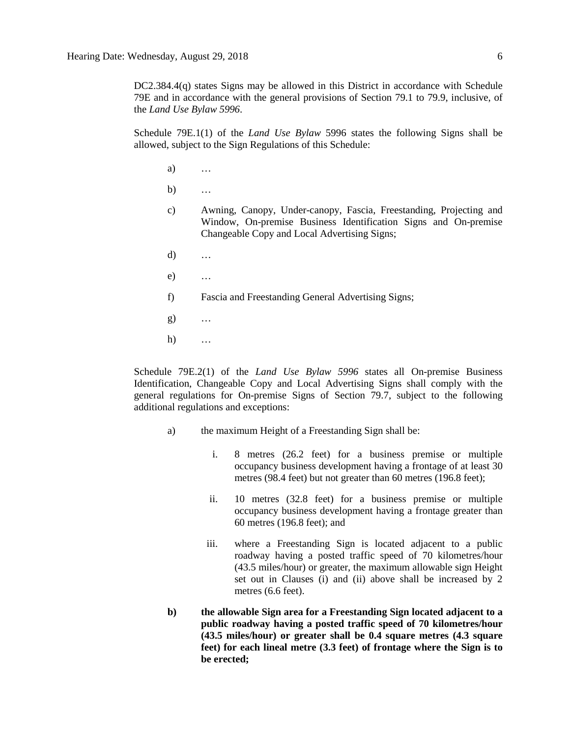DC2.384.4(q) states Signs may be allowed in this District in accordance with Schedule 79E and in accordance with the general provisions of Section 79.1 to 79.9, inclusive, of the *Land Use Bylaw 5996*.

Schedule 79E.1(1) of the *Land Use Bylaw* 5996 states the following Signs shall be allowed, subject to the Sign Regulations of this Schedule:

- a) …
- b) …
- c) Awning, Canopy, Under-canopy, Fascia, Freestanding, Projecting and Window, On-premise Business Identification Signs and On-premise Changeable Copy and Local Advertising Signs;
- d) …
- e) …
- f) Fascia and Freestanding General Advertising Signs;
- g) …
- h) …

Schedule 79E.2(1) of the *Land Use Bylaw 5996* states all On-premise Business Identification, Changeable Copy and Local Advertising Signs shall comply with the general regulations for On-premise Signs of Section 79.7, subject to the following additional regulations and exceptions:

- a) the maximum Height of a Freestanding Sign shall be:
	- i. 8 metres (26.2 feet) for a business premise or multiple occupancy business development having a frontage of at least 30 metres (98.4 feet) but not greater than 60 metres (196.8 feet);
	- ii. 10 metres (32.8 feet) for a business premise or multiple occupancy business development having a frontage greater than 60 metres (196.8 feet); and
	- iii. where a Freestanding Sign is located adjacent to a public roadway having a posted traffic speed of 70 kilometres/hour (43.5 miles/hour) or greater, the maximum allowable sign Height set out in Clauses (i) and (ii) above shall be increased by 2 metres (6.6 feet).
- **b) the allowable Sign area for a Freestanding Sign located adjacent to a public roadway having a posted traffic speed of 70 kilometres/hour (43.5 miles/hour) or greater shall be 0.4 square metres (4.3 square feet) for each lineal metre (3.3 feet) of frontage where the Sign is to be erected;**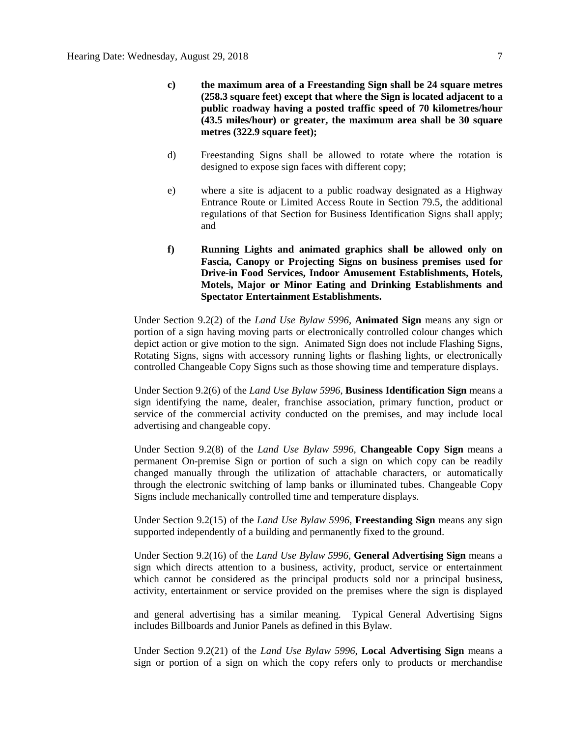- **c) the maximum area of a Freestanding Sign shall be 24 square metres (258.3 square feet) except that where the Sign is located adjacent to a public roadway having a posted traffic speed of 70 kilometres/hour (43.5 miles/hour) or greater, the maximum area shall be 30 square metres (322.9 square feet);**
- d) Freestanding Signs shall be allowed to rotate where the rotation is designed to expose sign faces with different copy;
- e) where a site is adjacent to a public roadway designated as a Highway Entrance Route or Limited Access Route in Section 79.5, the additional regulations of that Section for Business Identification Signs shall apply; and
- **f) Running Lights and animated graphics shall be allowed only on Fascia, Canopy or Projecting Signs on business premises used for Drive-in Food Services, Indoor Amusement Establishments, Hotels, Motels, Major or Minor Eating and Drinking Establishments and Spectator Entertainment Establishments.**

Under Section 9.2(2) of the *Land Use Bylaw 5996*, **Animated Sign** means any sign or portion of a sign having moving parts or electronically controlled colour changes which depict action or give motion to the sign. Animated Sign does not include Flashing Signs, Rotating Signs, signs with accessory running lights or flashing lights, or electronically controlled Changeable Copy Signs such as those showing time and temperature displays.

Under Section 9.2(6) of the *Land Use Bylaw 5996*, **Business Identification Sign** means a sign identifying the name, dealer, franchise association, primary function, product or service of the commercial activity conducted on the premises, and may include local advertising and changeable copy.

Under Section 9.2(8) of the *Land Use Bylaw 5996*, **Changeable Copy Sign** means a permanent On-premise Sign or portion of such a sign on which copy can be readily changed manually through the utilization of attachable characters, or automatically through the electronic switching of lamp banks or illuminated tubes. Changeable Copy Signs include mechanically controlled time and temperature displays.

Under Section 9.2(15) of the *Land Use Bylaw 5996*, **Freestanding Sign** means any sign supported independently of a building and permanently fixed to the ground.

Under Section 9.2(16) of the *Land Use Bylaw 5996*, **General Advertising Sign** means a sign which directs attention to a business, activity, product, service or entertainment which cannot be considered as the principal products sold nor a principal business, activity, entertainment or service provided on the premises where the sign is displayed

and general advertising has a similar meaning. Typical General Advertising Signs includes Billboards and Junior Panels as defined in this Bylaw.

Under Section 9.2(21) of the *Land Use Bylaw 5996*, **Local Advertising Sign** means a sign or portion of a sign on which the copy refers only to products or merchandise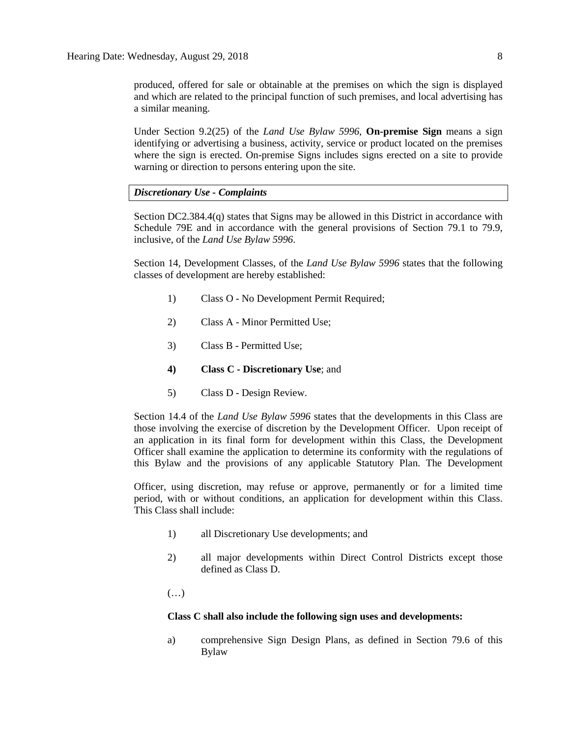produced, offered for sale or obtainable at the premises on which the sign is displayed and which are related to the principal function of such premises, and local advertising has a similar meaning.

Under Section 9.2(25) of the *Land Use Bylaw 5996*, **On-premise Sign** means a sign identifying or advertising a business, activity, service or product located on the premises where the sign is erected. On-premise Signs includes signs erected on a site to provide warning or direction to persons entering upon the site.

## *Discretionary Use - Complaints*

Section DC2.384.4(q) states that Signs may be allowed in this District in accordance with Schedule 79E and in accordance with the general provisions of Section 79.1 to 79.9, inclusive, of the *Land Use Bylaw 5996*.

Section 14, Development Classes, of the *Land Use Bylaw 5996* states that the following classes of development are hereby established:

- 1) Class O No Development Permit Required;
- 2) Class A Minor Permitted Use;
- 3) Class B Permitted Use;
- **4) Class C - Discretionary Use**; and
- 5) Class D Design Review.

Section 14.4 of the *Land Use Bylaw 5996* states that the developments in this Class are those involving the exercise of discretion by the Development Officer. Upon receipt of an application in its final form for development within this Class, the Development Officer shall examine the application to determine its conformity with the regulations of this Bylaw and the provisions of any applicable Statutory Plan. The Development

Officer, using discretion, may refuse or approve, permanently or for a limited time period, with or without conditions, an application for development within this Class. This Class shall include:

- 1) all Discretionary Use developments; and
- 2) all major developments within Direct Control Districts except those defined as Class D.

(…)

#### **Class C shall also include the following sign uses and developments:**

a) comprehensive Sign Design Plans, as defined in Section 79.6 of this Bylaw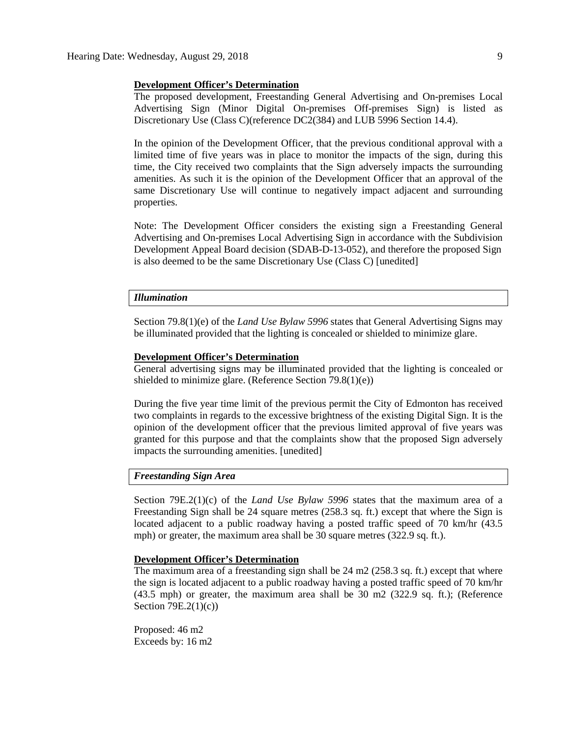## **Development Officer's Determination**

The proposed development, Freestanding General Advertising and On-premises Local Advertising Sign (Minor Digital On-premises Off-premises Sign) is listed as Discretionary Use (Class C)(reference DC2(384) and LUB 5996 Section 14.4).

In the opinion of the Development Officer, that the previous conditional approval with a limited time of five years was in place to monitor the impacts of the sign, during this time, the City received two complaints that the Sign adversely impacts the surrounding amenities. As such it is the opinion of the Development Officer that an approval of the same Discretionary Use will continue to negatively impact adjacent and surrounding properties.

Note: The Development Officer considers the existing sign a Freestanding General Advertising and On-premises Local Advertising Sign in accordance with the Subdivision Development Appeal Board decision (SDAB-D-13-052), and therefore the proposed Sign is also deemed to be the same Discretionary Use (Class C) [unedited]

# *Illumination*

Section 79.8(1)(e) of the *Land Use Bylaw 5996* states that General Advertising Signs may be illuminated provided that the lighting is concealed or shielded to minimize glare.

#### **Development Officer's Determination**

General advertising signs may be illuminated provided that the lighting is concealed or shielded to minimize glare. (Reference Section 79.8(1)(e))

During the five year time limit of the previous permit the City of Edmonton has received two complaints in regards to the excessive brightness of the existing Digital Sign. It is the opinion of the development officer that the previous limited approval of five years was granted for this purpose and that the complaints show that the proposed Sign adversely impacts the surrounding amenities. [unedited]

# *Freestanding Sign Area*

Section 79E.2(1)(c) of the *Land Use Bylaw 5996* states that the maximum area of a Freestanding Sign shall be 24 square metres (258.3 sq. ft.) except that where the Sign is located adjacent to a public roadway having a posted traffic speed of 70 km/hr (43.5 mph) or greater, the maximum area shall be 30 square metres (322.9 sq. ft.).

#### **Development Officer's Determination**

The maximum area of a freestanding sign shall be 24 m2 (258.3 sq. ft.) except that where the sign is located adjacent to a public roadway having a posted traffic speed of 70 km/hr (43.5 mph) or greater, the maximum area shall be 30 m2 (322.9 sq. ft.); (Reference Section 79E.2(1)(c))

Proposed: 46 m2 Exceeds by: 16 m2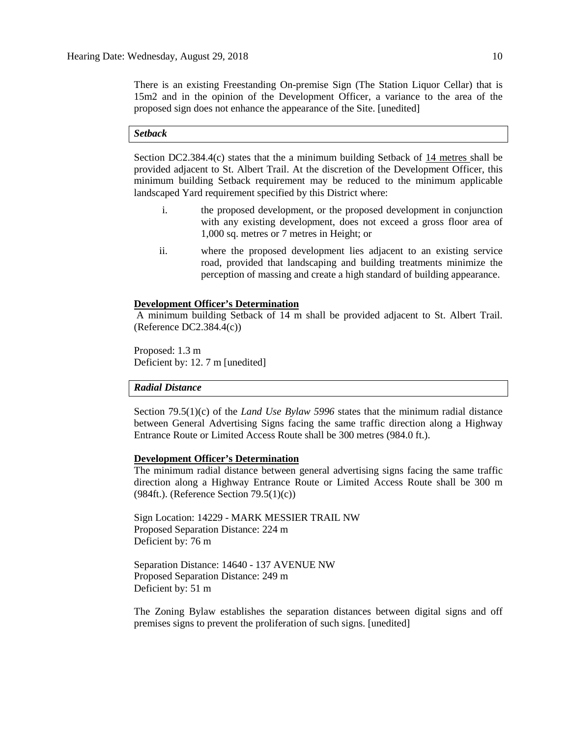There is an existing Freestanding On-premise Sign (The Station Liquor Cellar) that is 15m2 and in the opinion of the Development Officer, a variance to the area of the proposed sign does not enhance the appearance of the Site. [unedited]

# *Setback*

Section DC2.384.4(c) states that the a minimum building Setback of 14 metres shall be provided adjacent to St. Albert Trail. At the discretion of the Development Officer, this minimum building Setback requirement may be reduced to the minimum applicable landscaped Yard requirement specified by this District where:

- i. the proposed development, or the proposed development in conjunction with any existing development, does not exceed a gross floor area of 1,000 sq. metres or 7 metres in Height; or
- ii. where the proposed development lies adjacent to an existing service road, provided that landscaping and building treatments minimize the perception of massing and create a high standard of building appearance.

#### **Development Officer's Determination**

A minimum building Setback of 14 m shall be provided adjacent to St. Albert Trail. (Reference DC2.384.4(c))

Proposed: 1.3 m Deficient by: 12. 7 m [unedited]

#### *Radial Distance*

Section 79.5(1)(c) of the *Land Use Bylaw 5996* states that the minimum radial distance between General Advertising Signs facing the same traffic direction along a Highway Entrance Route or Limited Access Route shall be 300 metres (984.0 ft.).

#### **Development Officer's Determination**

The minimum radial distance between general advertising signs facing the same traffic direction along a Highway Entrance Route or Limited Access Route shall be 300 m (984ft.). (Reference Section 79.5(1)(c))

Sign Location: 14229 - MARK MESSIER TRAIL NW Proposed Separation Distance: 224 m Deficient by: 76 m

Separation Distance: 14640 - 137 AVENUE NW Proposed Separation Distance: 249 m Deficient by: 51 m

The Zoning Bylaw establishes the separation distances between digital signs and off premises signs to prevent the proliferation of such signs. [unedited]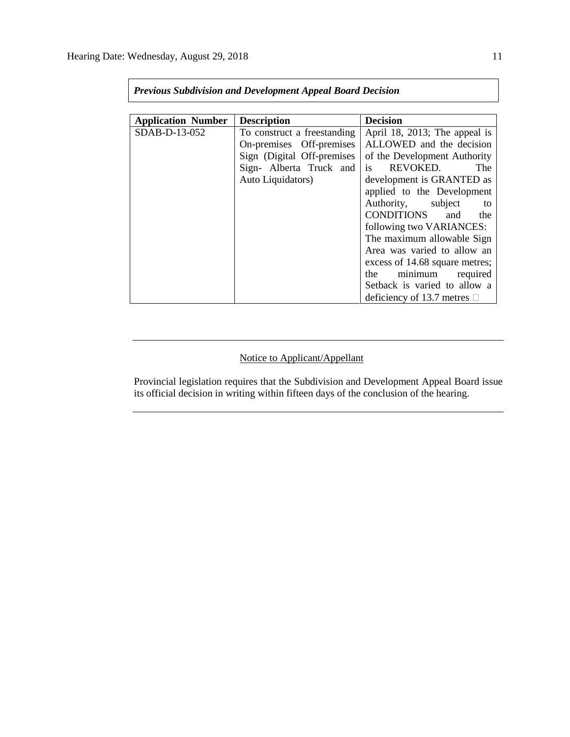| <b>Application Number</b> | <b>Description</b>          | <b>Decision</b>                  |
|---------------------------|-----------------------------|----------------------------------|
| SDAB-D-13-052             | To construct a freestanding | April 18, 2013; The appeal is    |
|                           | On-premises Off-premises    | ALLOWED and the decision         |
|                           | Sign (Digital Off-premises  | of the Development Authority     |
|                           | Sign- Alberta Truck and     | is<br>REVOKED.<br>The            |
|                           | Auto Liquidators)           | development is GRANTED as        |
|                           |                             | applied to the Development       |
|                           |                             | Authority, subject<br>to         |
|                           |                             | CONDITIONS and<br>the            |
|                           |                             | following two VARIANCES:         |
|                           |                             | The maximum allowable Sign       |
|                           |                             | Area was varied to allow an      |
|                           |                             | excess of 14.68 square metres;   |
|                           |                             | minimum required<br>the          |
|                           |                             | Setback is varied to allow a     |
|                           |                             | deficiency of 13.7 metres $\Box$ |

*Previous Subdivision and Development Appeal Board Decision*

# Notice to Applicant/Appellant

Provincial legislation requires that the Subdivision and Development Appeal Board issue its official decision in writing within fifteen days of the conclusion of the hearing.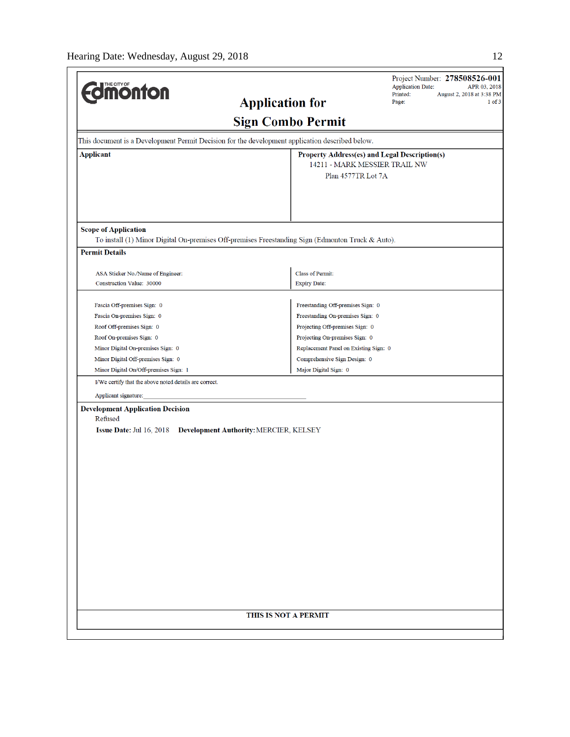| <b>different</b>                                                                                | Project Number: 278508526-001<br><b>Application Date:</b><br>APR 03, 2018<br>Printed:<br>August 2, 2018 at 3:38 PM<br><b>Application for</b><br>Page:<br>$1$ of $3$ |
|-------------------------------------------------------------------------------------------------|---------------------------------------------------------------------------------------------------------------------------------------------------------------------|
|                                                                                                 | <b>Sign Combo Permit</b>                                                                                                                                            |
| This document is a Development Permit Decision for the development application described below. |                                                                                                                                                                     |
| <b>Applicant</b>                                                                                | Property Address(es) and Legal Description(s)                                                                                                                       |
|                                                                                                 | 14211 - MARK MESSIER TRAIL NW                                                                                                                                       |
|                                                                                                 | Plan 4577TR Lot 7A                                                                                                                                                  |
|                                                                                                 |                                                                                                                                                                     |
| <b>Scope of Application</b>                                                                     | To install (1) Minor Digital On-premises Off-premises Freestanding Sign (Edmonton Truck & Auto).                                                                    |
| <b>Permit Details</b>                                                                           |                                                                                                                                                                     |
|                                                                                                 |                                                                                                                                                                     |
| ASA Sticker No./Name of Engineer:<br>Construction Value: 30000                                  | <b>Class of Permit:</b><br><b>Expiry Date:</b>                                                                                                                      |
|                                                                                                 |                                                                                                                                                                     |
| Fascia Off-premises Sign: 0                                                                     | Freestanding Off-premises Sign: 0                                                                                                                                   |
| Fascia On-premises Sign: 0                                                                      | Freestanding On-premises Sign: 0                                                                                                                                    |
| Roof Off-premises Sign: 0                                                                       | Projecting Off-premises Sign: 0                                                                                                                                     |
| Roof On-premises Sign: 0                                                                        | Projecting On-premises Sign: 0                                                                                                                                      |
| Minor Digital On-premises Sign: 0                                                               | Replacement Panel on Existing Sign: 0                                                                                                                               |
| Minor Digital Off-premises Sign: 0                                                              | Comprehensive Sign Design: 0                                                                                                                                        |
| Minor Digital On/Off-premises Sign: 1                                                           | Major Digital Sign: 0                                                                                                                                               |
| I/We certify that the above noted details are correct.                                          |                                                                                                                                                                     |
| Applicant signature:                                                                            |                                                                                                                                                                     |
| <b>Development Application Decision</b><br>Refused<br><b>Issue Date: Jul 16, 2018</b>           | Development Authority: MERCIER, KELSEY                                                                                                                              |
|                                                                                                 | THIS IS NOT A PERMIT                                                                                                                                                |
|                                                                                                 |                                                                                                                                                                     |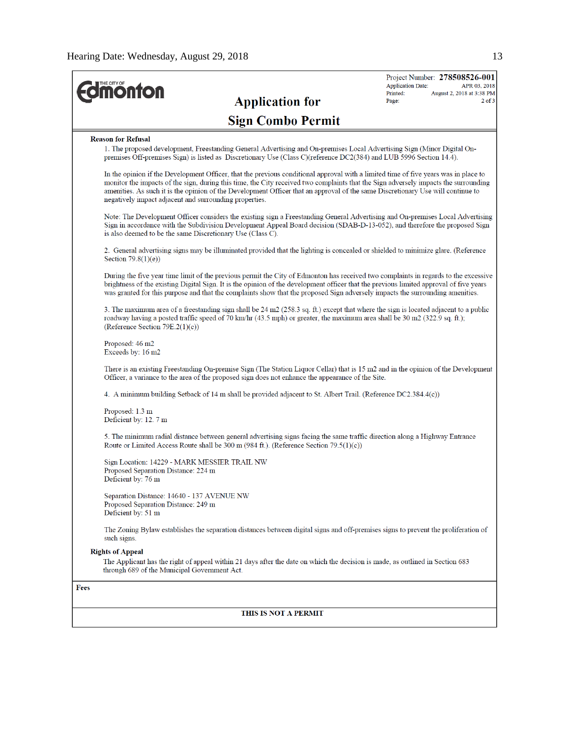$\overline{a}$ 

| <b>Jmonton</b>                                                                                                                                                                                                                                                                                                                                                                                                                                                          | <b>Application Date:</b><br>APR 03, 2018<br>Printed:<br>August 2, 2018 at 3:38 PM |
|-------------------------------------------------------------------------------------------------------------------------------------------------------------------------------------------------------------------------------------------------------------------------------------------------------------------------------------------------------------------------------------------------------------------------------------------------------------------------|-----------------------------------------------------------------------------------|
| <b>Application for</b>                                                                                                                                                                                                                                                                                                                                                                                                                                                  | Page:                                                                             |
| <b>Sign Combo Permit</b>                                                                                                                                                                                                                                                                                                                                                                                                                                                |                                                                                   |
| <b>Reason for Refusal</b>                                                                                                                                                                                                                                                                                                                                                                                                                                               |                                                                                   |
| 1. The proposed development, Freestanding General Advertising and On-premises Local Advertising Sign (Minor Digital On-<br>premises Off-premises Sign) is listed as Discretionary Use (Class C)(reference DC2(384) and LUB 5996 Section 14.4).                                                                                                                                                                                                                          |                                                                                   |
| In the opinion if the Development Officer, that the previous conditional approval with a limited time of five years was in place to<br>monitor the impacts of the sign, during this time, the City received two complaints that the Sign adversely impacts the surrounding<br>amenities. As such it is the opinion of the Development Officer that an approval of the same Discretionary Use will continue to<br>negatively impact adjacent and surrounding properties. |                                                                                   |
| Note: The Development Officer considers the existing sign a Freestanding General Advertising and On-premises Local Advertising<br>Sign in accordance with the Subdivision Development Appeal Board decision (SDAB-D-13-052), and therefore the proposed Sign<br>is also deemed to be the same Discretionary Use (Class C).                                                                                                                                              |                                                                                   |
| 2. General advertising signs may be illuminated provided that the lighting is concealed or shielded to minimize glare. (Reference<br>Section 79.8(1)(e))                                                                                                                                                                                                                                                                                                                |                                                                                   |
| During the five year time limit of the previous permit the City of Edmonton has received two complaints in regards to the excessive<br>brightness of the existing Digital Sign. It is the opinion of the development officer that the previous limited approval of five years<br>was granted for this purpose and that the complaints show that the proposed Sign adversely impacts the surrounding amenities.                                                          |                                                                                   |
| 3. The maximum area of a freestanding sign shall be 24 m2 (258.3 sq. ft.) except that where the sign is located adjacent to a public<br>roadway having a posted traffic speed of 70 km/hr (43.5 mph) or greater, the maximum area shall be 30 m2 (322.9 sq. ft.);<br>(Reference Section 79E.2(1)(c))                                                                                                                                                                    |                                                                                   |
| Proposed: 46 m2<br>Exceeds by: 16 m2                                                                                                                                                                                                                                                                                                                                                                                                                                    |                                                                                   |
| There is an existing Freestanding On-premise Sign (The Station Liquor Cellar) that is 15 m2 and in the opinion of the Development<br>Officer, a variance to the area of the proposed sign does not enhance the appearance of the Site.                                                                                                                                                                                                                                  |                                                                                   |
| 4. A minimum building Setback of 14 m shall be provided adjacent to St. Albert Trail. (Reference DC2.384.4(c))                                                                                                                                                                                                                                                                                                                                                          |                                                                                   |
| Proposed: 1.3 m<br>Deficient by: 12. 7 m                                                                                                                                                                                                                                                                                                                                                                                                                                |                                                                                   |
| 5. The minimum radial distance between general advertising signs facing the same traffic direction along a Highway Entrance<br>Route or Limited Access Route shall be 300 m (984 ft.). (Reference Section 79.5(1)(c))                                                                                                                                                                                                                                                   |                                                                                   |
| Sign Location: 14229 - MARK MESSIER TRAIL NW<br>Proposed Separation Distance: 224 m<br>Deficient by: 76 m                                                                                                                                                                                                                                                                                                                                                               |                                                                                   |
| Separation Distance: 14640 - 137 AVENUE NW<br>Proposed Separation Distance: 249 m<br>Deficient by: 51 m                                                                                                                                                                                                                                                                                                                                                                 |                                                                                   |
| The Zoning Bylaw establishes the separation distances between digital signs and off-premises signs to prevent the proliferation of<br>such signs.                                                                                                                                                                                                                                                                                                                       |                                                                                   |
| <b>Rights of Appeal</b><br>The Applicant has the right of appeal within 21 days after the date on which the decision is made, as outlined in Section 683<br>through 689 of the Municipal Government Act.                                                                                                                                                                                                                                                                |                                                                                   |
| <b>Fees</b>                                                                                                                                                                                                                                                                                                                                                                                                                                                             |                                                                                   |

#### THIS IS NOT A PERMIT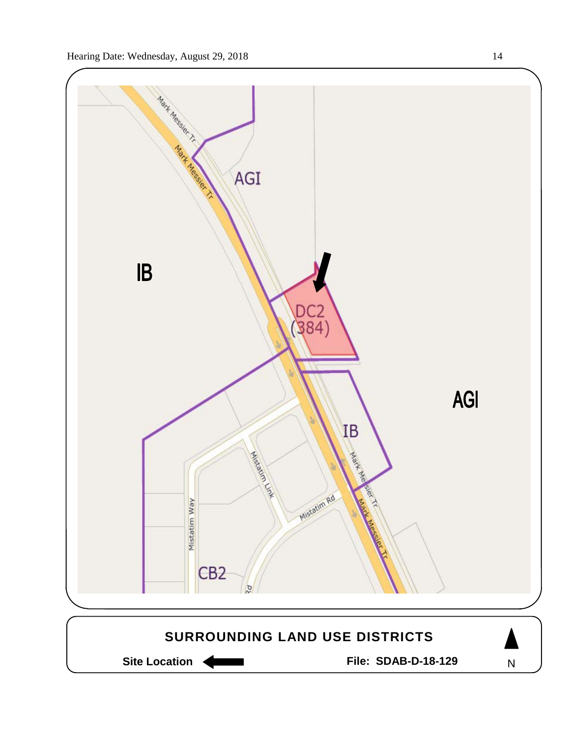



Site Location **Communist Contract Contract Contract Contract Contract Contract Contract Contract Contract Contract Contract Contract Contract Contract Contract Contract Contract Contract Contract Contract Contract Contract** 

N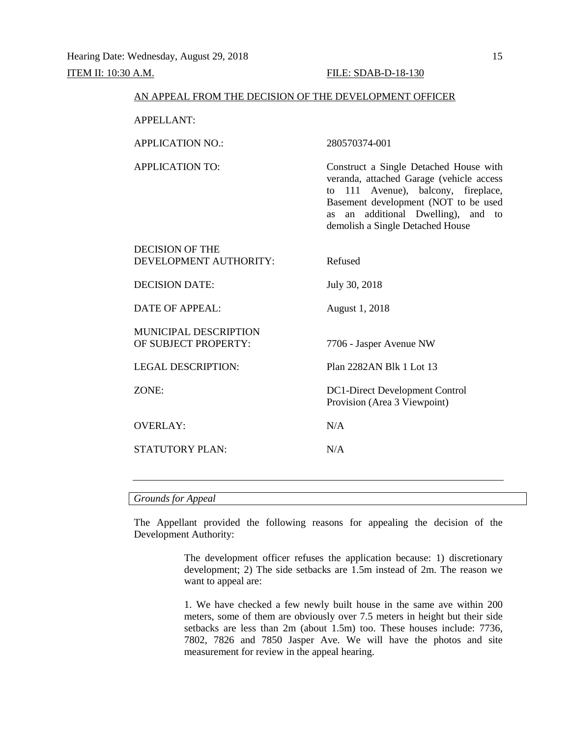#### AN APPEAL FROM THE DECISION OF THE DEVELOPMENT OFFICER

APPELLANT:

APPLICATION NO.: 280570374-001

APPLICATION TO: Construct a Single Detached House with veranda, attached Garage (vehicle access to 111 Avenue), balcony, fireplace, Basement development (NOT to be used as an additional Dwelling), and to

demolish a Single Detached House

| DECISION OF THE<br>DEVELOPMENT AUTHORITY: | Refused                        |
|-------------------------------------------|--------------------------------|
|                                           |                                |
| DECISION DATE:                            | July 30, 2018                  |
| <b>DATE OF APPEAL:</b>                    | August 1, 2018                 |
| <b>MUNICIPAL DESCRIPTION</b>              |                                |
| OF SUBJECT PROPERTY:                      | 7706 - Jasper Avenue NW        |
| <b>LEGAL DESCRIPTION:</b>                 | Plan 2282AN Blk 1 Lot 13       |
| ZONE:                                     | DC1-Direct Development Control |
|                                           | Provision (Area 3 Viewpoint)   |
| <b>OVERLAY:</b>                           | N/A                            |
| <b>STATUTORY PLAN:</b>                    | N/A                            |
|                                           |                                |

## *Grounds for Appeal*

The Appellant provided the following reasons for appealing the decision of the Development Authority:

> The development officer refuses the application because: 1) discretionary development; 2) The side setbacks are 1.5m instead of 2m. The reason we want to appeal are:

> 1. We have checked a few newly built house in the same ave within 200 meters, some of them are obviously over 7.5 meters in height but their side setbacks are less than 2m (about 1.5m) too. These houses include: 7736, 7802, 7826 and 7850 Jasper Ave. We will have the photos and site measurement for review in the appeal hearing.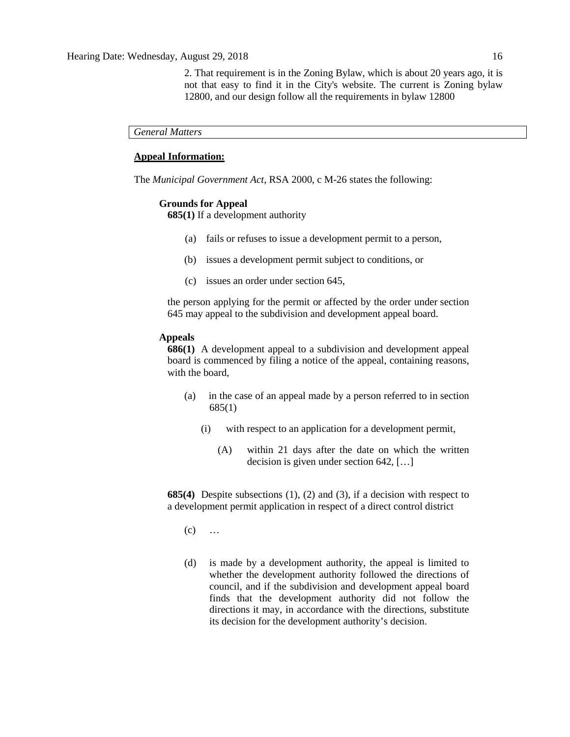2. That requirement is in the Zoning Bylaw, which is about 20 years ago, it is not that easy to find it in the City's website. The current is Zoning bylaw 12800, and our design follow all the requirements in bylaw 12800

*General Matters*

# **Appeal Information:**

The *Municipal Government Act*, RSA 2000, c M-26 states the following:

#### **Grounds for Appeal**

**685(1)** If a development authority

- (a) fails or refuses to issue a development permit to a person,
- (b) issues a development permit subject to conditions, or
- (c) issues an order under section 645,

the person applying for the permit or affected by the order under section 645 may appeal to the subdivision and development appeal board.

# **Appeals**

**686(1)** A development appeal to a subdivision and development appeal board is commenced by filing a notice of the appeal, containing reasons, with the board,

- (a) in the case of an appeal made by a person referred to in section 685(1)
	- (i) with respect to an application for a development permit,
		- (A) within 21 days after the date on which the written decision is given under section 642, […]

**685(4)** Despite subsections (1), (2) and (3), if a decision with respect to a development permit application in respect of a direct control district

- $(c)$  ...
- (d) is made by a development authority, the appeal is limited to whether the development authority followed the directions of council, and if the subdivision and development appeal board finds that the development authority did not follow the directions it may, in accordance with the directions, substitute its decision for the development authority's decision.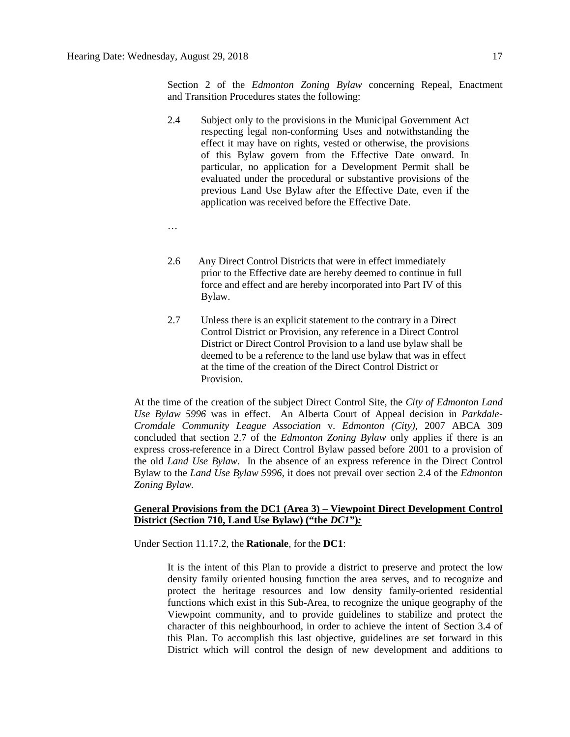Section 2 of the *Edmonton Zoning Bylaw* concerning Repeal, Enactment and Transition Procedures states the following:

2.4 Subject only to the provisions in the Municipal Government Act respecting legal non-conforming Uses and notwithstanding the effect it may have on rights, vested or otherwise, the provisions of this Bylaw govern from the Effective Date onward. In particular, no application for a Development Permit shall be evaluated under the procedural or substantive provisions of the previous Land Use Bylaw after the Effective Date, even if the application was received before the Effective Date.

…

- 2.6 Any Direct Control Districts that were in effect immediately prior to the Effective date are hereby deemed to continue in full force and effect and are hereby incorporated into Part IV of this Bylaw.
- 2.7 Unless there is an explicit statement to the contrary in a Direct Control District or Provision, any reference in a Direct Control District or Direct Control Provision to a land use bylaw shall be deemed to be a reference to the land use bylaw that was in effect at the time of the creation of the Direct Control District or Provision.

At the time of the creation of the subject Direct Control Site, the *City of Edmonton Land Use Bylaw 5996* was in effect. An Alberta Court of Appeal decision in *Parkdale-Cromdale Community League Association* v. *Edmonton (City),* 2007 ABCA 309 concluded that section 2.7 of the *Edmonton Zoning Bylaw* only applies if there is an express cross-reference in a Direct Control Bylaw passed before 2001 to a provision of the old *Land Use Bylaw*. In the absence of an express reference in the Direct Control Bylaw to the *Land Use Bylaw 5996*, it does not prevail over section 2.4 of the *Edmonton Zoning Bylaw.*

# **General Provisions from the DC1 (Area 3) – Viewpoint Direct Development Control District (Section 710, Land Use Bylaw) ("the** *DC1***")***:*

Under Section 11.17.2, the **Rationale**, for the **DC1**:

It is the intent of this Plan to provide a district to preserve and protect the low density family oriented housing function the area serves, and to recognize and protect the heritage resources and low density family-oriented residential functions which exist in this Sub-Area, to recognize the unique geography of the Viewpoint community, and to provide guidelines to stabilize and protect the character of this neighbourhood, in order to achieve the intent of Section 3.4 of this Plan. To accomplish this last objective, guidelines are set forward in this District which will control the design of new development and additions to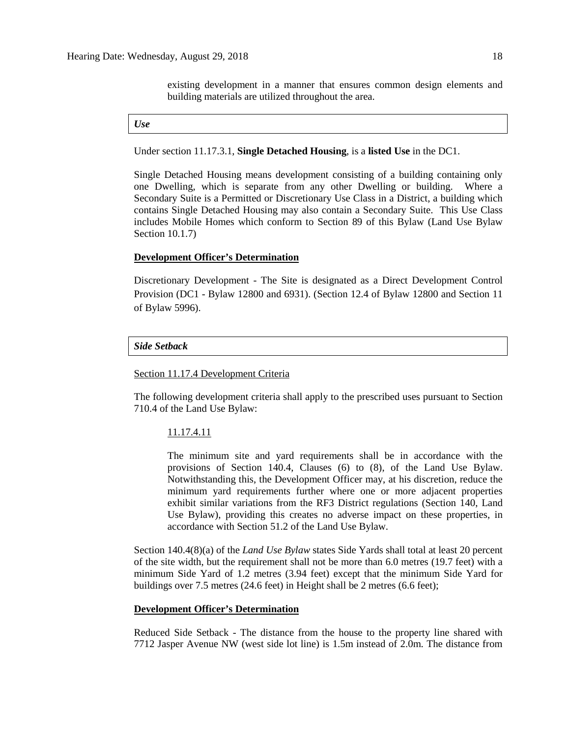existing development in a manner that ensures common design elements and building materials are utilized throughout the area.

#### *Use*

Under section 11.17.3.1, **Single Detached Housing**, is a **listed Use** in the DC1.

Single Detached Housing means development consisting of a building containing only one Dwelling, which is separate from any other Dwelling or building. Where a Secondary Suite is a Permitted or Discretionary Use Class in a District, a building which contains Single Detached Housing may also contain a Secondary Suite. This Use Class includes Mobile Homes which conform to Section 89 of this Bylaw (Land Use Bylaw Section 10.1.7)

# **Development Officer's Determination**

Discretionary Development - The Site is designated as a Direct Development Control Provision (DC1 - Bylaw 12800 and 6931). (Section 12.4 of Bylaw 12800 and Section 11 of Bylaw 5996).

#### *Side Setback*

# Section 11.17.4 Development Criteria

The following development criteria shall apply to the prescribed uses pursuant to Section 710.4 of the Land Use Bylaw:

#### 11.17.4.11

The minimum site and yard requirements shall be in accordance with the provisions of Section 140.4, Clauses (6) to (8), of the Land Use Bylaw. Notwithstanding this, the Development Officer may, at his discretion, reduce the minimum yard requirements further where one or more adjacent properties exhibit similar variations from the RF3 District regulations (Section 140, Land Use Bylaw), providing this creates no adverse impact on these properties, in accordance with Section 51.2 of the Land Use Bylaw.

Section 140.4(8)(a) of the *Land Use Bylaw* states Side Yards shall total at least 20 percent of the site width, but the requirement shall not be more than 6.0 metres (19.7 feet) with a minimum Side Yard of 1.2 metres (3.94 feet) except that the minimum Side Yard for buildings over 7.5 metres (24.6 feet) in Height shall be 2 metres (6.6 feet);

#### **Development Officer's Determination**

Reduced Side Setback - The distance from the house to the property line shared with 7712 Jasper Avenue NW (west side lot line) is 1.5m instead of 2.0m. The distance from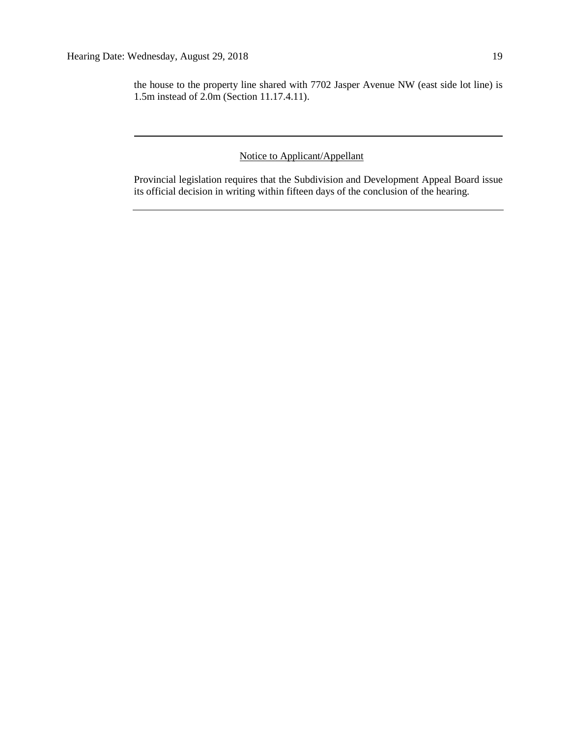the house to the property line shared with 7702 Jasper Avenue NW (east side lot line) is 1.5m instead of 2.0m (Section 11.17.4.11).

# Notice to Applicant/Appellant

Provincial legislation requires that the Subdivision and Development Appeal Board issue its official decision in writing within fifteen days of the conclusion of the hearing.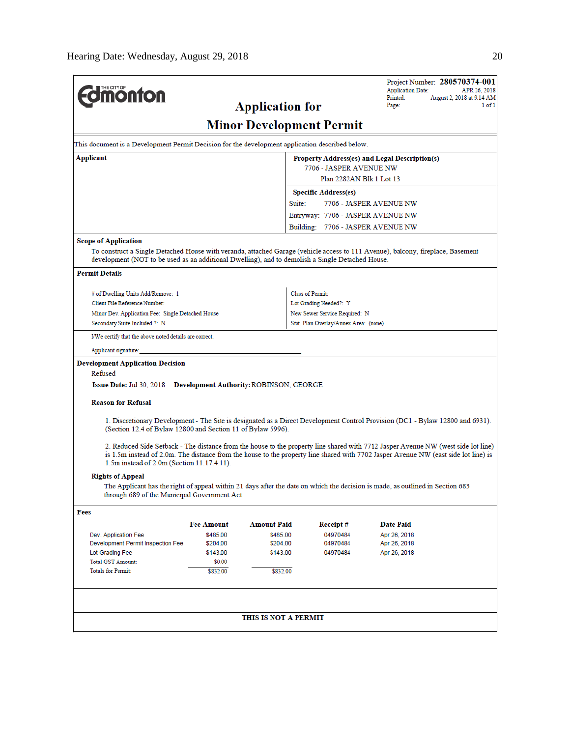|                                                                                                                                                                                                                                     |                                                     |                                       | Project Number: 280570374-001<br><b>Application Date:</b><br>APR 26, 2018                                                           |  |  |  |
|-------------------------------------------------------------------------------------------------------------------------------------------------------------------------------------------------------------------------------------|-----------------------------------------------------|---------------------------------------|-------------------------------------------------------------------------------------------------------------------------------------|--|--|--|
| <b><i><u><u><b>MONTON</b></u></u></i></b>                                                                                                                                                                                           |                                                     |                                       | Printed:<br>August 2, 2018 at 9:14 AM                                                                                               |  |  |  |
|                                                                                                                                                                                                                                     | <b>Application for</b>                              |                                       | 1 of 1<br>Page:                                                                                                                     |  |  |  |
| <b>Minor Development Permit</b>                                                                                                                                                                                                     |                                                     |                                       |                                                                                                                                     |  |  |  |
| This document is a Development Permit Decision for the development application described below.                                                                                                                                     |                                                     |                                       |                                                                                                                                     |  |  |  |
| Applicant                                                                                                                                                                                                                           | Property Address(es) and Legal Description(s)       |                                       |                                                                                                                                     |  |  |  |
|                                                                                                                                                                                                                                     | 7706 - JASPER AVENUE NW<br>Plan 2282AN Blk 1 Lot 13 |                                       |                                                                                                                                     |  |  |  |
|                                                                                                                                                                                                                                     | <b>Specific Address(es)</b>                         |                                       |                                                                                                                                     |  |  |  |
|                                                                                                                                                                                                                                     |                                                     | Suite:                                | 7706 - JASPER AVENUE NW                                                                                                             |  |  |  |
|                                                                                                                                                                                                                                     |                                                     | Entryway: 7706 - JASPER AVENUE NW     |                                                                                                                                     |  |  |  |
|                                                                                                                                                                                                                                     |                                                     | Building: 7706 - JASPER AVENUE NW     |                                                                                                                                     |  |  |  |
| <b>Scope of Application</b>                                                                                                                                                                                                         |                                                     |                                       |                                                                                                                                     |  |  |  |
| To construct a Single Detached House with veranda, attached Garage (vehicle access to 111 Avenue), balcony, fireplace, Basement<br>development (NOT to be used as an additional Dwelling), and to demolish a Single Detached House. |                                                     |                                       |                                                                                                                                     |  |  |  |
| <b>Permit Details</b>                                                                                                                                                                                                               |                                                     |                                       |                                                                                                                                     |  |  |  |
| # of Dwelling Units Add/Remove: 1                                                                                                                                                                                                   |                                                     | Class of Permit:                      |                                                                                                                                     |  |  |  |
| Client File Reference Number:                                                                                                                                                                                                       |                                                     | Lot Grading Needed?: Y                |                                                                                                                                     |  |  |  |
| Minor Dev. Application Fee: Single Detached House                                                                                                                                                                                   |                                                     | New Sewer Service Required: N         |                                                                                                                                     |  |  |  |
| Secondary Suite Included ?: N                                                                                                                                                                                                       |                                                     | Stat. Plan Overlay/Annex Area: (none) |                                                                                                                                     |  |  |  |
| I/We certify that the above noted details are correct.                                                                                                                                                                              |                                                     |                                       |                                                                                                                                     |  |  |  |
| Applicant signature:                                                                                                                                                                                                                |                                                     |                                       |                                                                                                                                     |  |  |  |
| <b>Development Application Decision</b>                                                                                                                                                                                             |                                                     |                                       |                                                                                                                                     |  |  |  |
| Refused<br><b>Issue Date: Jul 30, 2018</b>                                                                                                                                                                                          | <b>Development Authority: ROBINSON, GEORGE</b>      |                                       |                                                                                                                                     |  |  |  |
| <b>Reason for Refusal</b>                                                                                                                                                                                                           |                                                     |                                       |                                                                                                                                     |  |  |  |
|                                                                                                                                                                                                                                     |                                                     |                                       |                                                                                                                                     |  |  |  |
| (Section 12.4 of Bylaw 12800 and Section 11 of Bylaw 5996).                                                                                                                                                                         |                                                     |                                       | 1. Discretionary Development - The Site is designated as a Direct Development Control Provision (DC1 - Bylaw 12800 and 6931).       |  |  |  |
|                                                                                                                                                                                                                                     |                                                     |                                       | 2. Reduced Side Setback - The distance from the house to the property line shared with 7712 Jasper Avenue NW (west side lot line)   |  |  |  |
| 1.5m instead of 2.0m (Section 11.17.4.11).                                                                                                                                                                                          |                                                     |                                       | is 1.5m instead of 2.0m. The distance from the house to the property line shared with 7702 Jasper Avenue NW (east side lot line) is |  |  |  |
| <b>Rights of Appeal</b>                                                                                                                                                                                                             |                                                     |                                       |                                                                                                                                     |  |  |  |
| The Applicant has the right of appeal within 21 days after the date on which the decision is made, as outlined in Section 683<br>through 689 of the Municipal Government Act.                                                       |                                                     |                                       |                                                                                                                                     |  |  |  |
| Fees                                                                                                                                                                                                                                |                                                     |                                       |                                                                                                                                     |  |  |  |
| <b>Fee Amount</b>                                                                                                                                                                                                                   | <b>Amount Paid</b>                                  | Receipt#                              | <b>Date Paid</b>                                                                                                                    |  |  |  |
| \$485.00<br>Dev. Application Fee                                                                                                                                                                                                    | \$485.00                                            | 04970484                              | Apr 26, 2018                                                                                                                        |  |  |  |
| Development Permit Inspection Fee<br>\$204.00                                                                                                                                                                                       | \$204.00                                            | 04970484                              | Apr 26, 2018                                                                                                                        |  |  |  |
| Lot Grading Fee<br>\$143.00                                                                                                                                                                                                         | \$143.00                                            | 04970484                              | Apr 26, 2018                                                                                                                        |  |  |  |
| <b>Total GST Amount:</b><br><b>Totals for Permit:</b><br>\$832.00                                                                                                                                                                   | \$0.00<br>\$832.00                                  |                                       |                                                                                                                                     |  |  |  |
|                                                                                                                                                                                                                                     |                                                     |                                       |                                                                                                                                     |  |  |  |
|                                                                                                                                                                                                                                     |                                                     |                                       |                                                                                                                                     |  |  |  |
|                                                                                                                                                                                                                                     | THIS IS NOT A PERMIT                                |                                       |                                                                                                                                     |  |  |  |
|                                                                                                                                                                                                                                     |                                                     |                                       |                                                                                                                                     |  |  |  |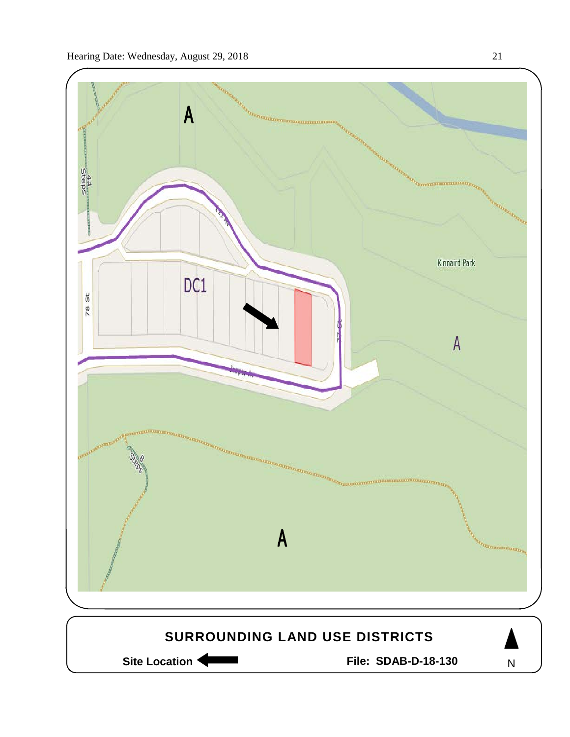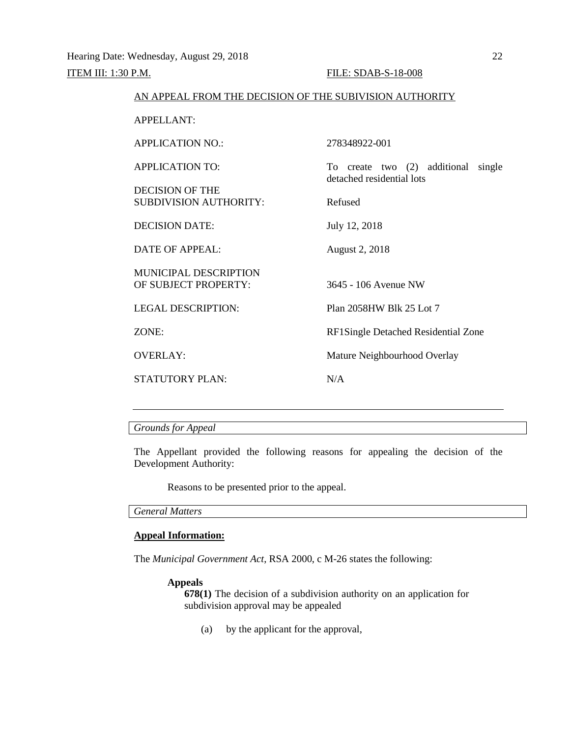# AN APPEAL FROM THE DECISION OF THE SUBIVISION AUTHORITY

APPELLANT: APPLICATION NO.: 278348922-001 APPLICATION TO: To create two (2) additional single detached residential lots DECISION OF THE SUBDIVISION AUTHORITY: Refused DECISION DATE: July 12, 2018 DATE OF APPEAL: August 2, 2018 MUNICIPAL DESCRIPTION OF SUBJECT PROPERTY: 3645 - 106 Avenue NW LEGAL DESCRIPTION: Plan 2058HW Blk 25 Lot 7 ZONE: RF1Single Detached Residential Zone OVERLAY: Mature Neighbourhood Overlay STATUTORY PLAN: N/A

# *Grounds for Appeal*

The Appellant provided the following reasons for appealing the decision of the Development Authority:

Reasons to be presented prior to the appeal.

#### *General Matters*

## **Appeal Information:**

The *Municipal Government Act*, RSA 2000, c M-26 states the following:

#### **Appeals**

**678(1)** The decision of a subdivision authority on an application for subdivision approval may be appealed

(a) by the applicant for the approval,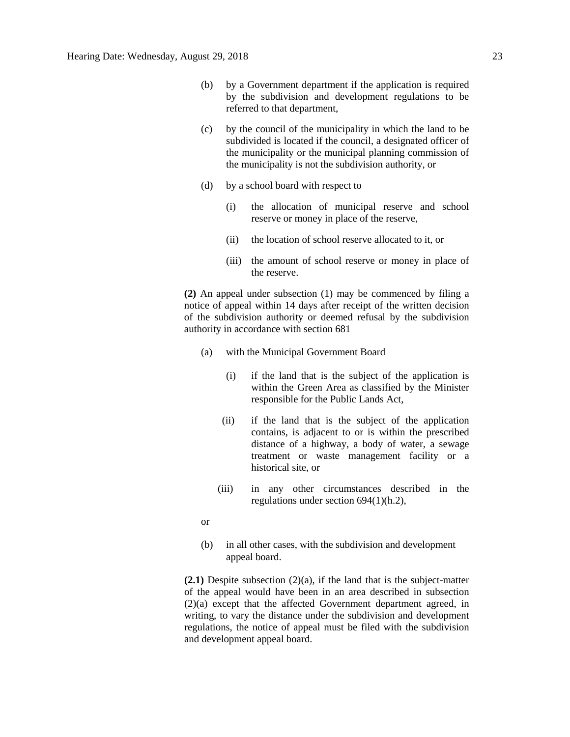- (b) by a Government department if the application is required by the subdivision and development regulations to be referred to that department,
- (c) by the council of the municipality in which the land to be subdivided is located if the council, a designated officer of the municipality or the municipal planning commission of the municipality is not the subdivision authority, or
- (d) by a school board with respect to
	- (i) the allocation of municipal reserve and school reserve or money in place of the reserve,
	- (ii) the location of school reserve allocated to it, or
	- (iii) the amount of school reserve or money in place of the reserve.

**(2)** An appeal under subsection (1) may be commenced by filing a notice of appeal within 14 days after receipt of the written decision of the subdivision authority or deemed refusal by the subdivision authority in accordance with section 681

- (a) with the Municipal Government Board
	- (i) if the land that is the subject of the application is within the Green Area as classified by the Minister responsible for the Public Lands Act,
	- (ii) if the land that is the subject of the application contains, is adjacent to or is within the prescribed distance of a highway, a body of water, a sewage treatment or waste management facility or a historical site, or
	- (iii) in any other circumstances described in the regulations under section 694(1)(h.2),

or

(b) in all other cases, with the subdivision and development appeal board.

**(2.1)** Despite subsection (2)(a), if the land that is the subject-matter of the appeal would have been in an area described in subsection (2)(a) except that the affected Government department agreed, in writing, to vary the distance under the subdivision and development regulations, the notice of appeal must be filed with the subdivision and development appeal board.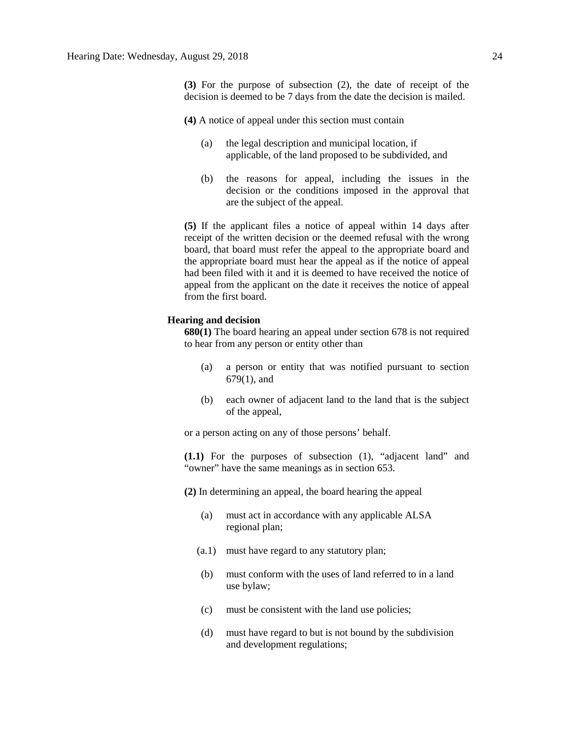**(3)** For the purpose of subsection (2), the date of receipt of the decision is deemed to be 7 days from the date the decision is mailed.

**(4)** A notice of appeal under this section must contain

- (a) the legal description and municipal location, if applicable, of the land proposed to be subdivided, and
- (b) the reasons for appeal, including the issues in the decision or the conditions imposed in the approval that are the subject of the appeal.

**(5)** If the applicant files a notice of appeal within 14 days after receipt of the written decision or the deemed refusal with the wrong board, that board must refer the appeal to the appropriate board and the appropriate board must hear the appeal as if the notice of appeal had been filed with it and it is deemed to have received the notice of appeal from the applicant on the date it receives the notice of appeal from the first board.

## **Hearing and decision**

**680(1)** The board hearing an appeal under section 678 is not required to hear from any person or entity other than

- (a) a person or entity that was notified pursuant to section 679(1), and
- (b) each owner of adjacent land to the land that is the subject of the appeal,

or a person acting on any of those persons' behalf.

**(1.1)** For the purposes of subsection (1), "adjacent land" and "owner" have the same meanings as in section 653.

**(2)** In determining an appeal, the board hearing the appeal

- (a) must act in accordance with any applicable ALSA regional plan;
- (a.1) must have regard to any statutory plan;
- (b) must conform with the uses of land referred to in a land use bylaw;
- (c) must be consistent with the land use policies;
- (d) must have regard to but is not bound by the subdivision and development regulations;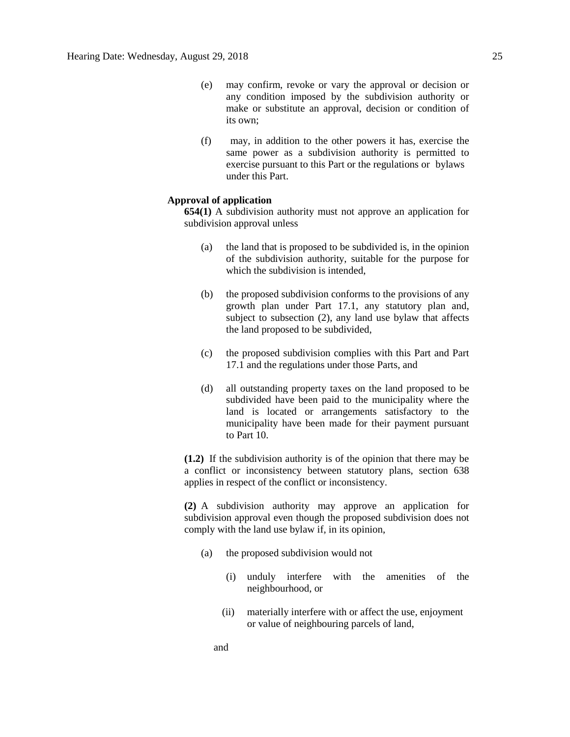- (e) may confirm, revoke or vary the approval or decision or any condition imposed by the subdivision authority or make or substitute an approval, decision or condition of its own;
- (f) may, in addition to the other powers it has, exercise the same power as a subdivision authority is permitted to exercise pursuant to this Part or the regulations or bylaws under this Part.

## **Approval of application**

**654(1)** A subdivision authority must not approve an application for subdivision approval unless

- (a) the land that is proposed to be subdivided is, in the opinion of the subdivision authority, suitable for the purpose for which the subdivision is intended.
- (b) the proposed subdivision conforms to the provisions of any growth plan under Part 17.1, any statutory plan and, subject to subsection (2), any land use bylaw that affects the land proposed to be subdivided,
- (c) the proposed subdivision complies with this Part and Part 17.1 and the regulations under those Parts, and
- (d) all outstanding property taxes on the land proposed to be subdivided have been paid to the municipality where the land is located or arrangements satisfactory to the municipality have been made for their payment pursuant to Part 10.

**(1.2)** If the subdivision authority is of the opinion that there may be a conflict or inconsistency between statutory plans, section 638 applies in respect of the conflict or inconsistency.

**(2)** A subdivision authority may approve an application for subdivision approval even though the proposed subdivision does not comply with the land use bylaw if, in its opinion,

- (a) the proposed subdivision would not
	- (i) unduly interfere with the amenities of the neighbourhood, or
	- (ii) materially interfere with or affect the use, enjoyment or value of neighbouring parcels of land,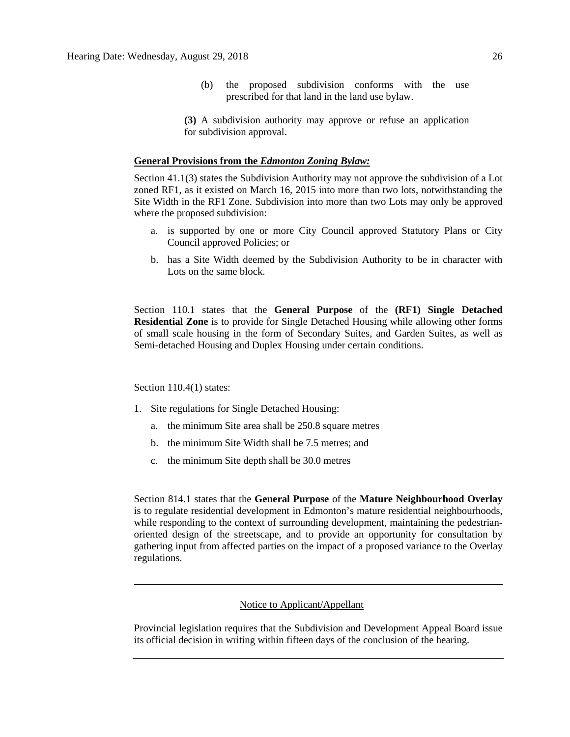(b) the proposed subdivision conforms with the use prescribed for that land in the land use bylaw.

**(3)** A subdivision authority may approve or refuse an application for subdivision approval.

#### **General Provisions from the** *Edmonton Zoning Bylaw:*

Section 41.1(3) states the Subdivision Authority may not approve the subdivision of a Lot zoned RF1, as it existed on March 16, 2015 into more than two lots, notwithstanding the Site Width in the RF1 Zone. Subdivision into more than two Lots may only be approved where the proposed subdivision:

- a. is supported by one or more City Council approved Statutory Plans or City Council approved Policies; or
- b. has a Site Width deemed by the Subdivision Authority to be in character with Lots on the same block.

Section 110.1 states that the **General Purpose** of the **(RF1) Single Detached Residential Zone** is to provide for Single Detached Housing while allowing other forms of small scale housing in the form of Secondary Suites, and Garden Suites, as well as Semi-detached Housing and Duplex Housing under certain conditions.

#### Section 110.4(1) states:

- 1. Site regulations for Single Detached Housing:
	- a. the minimum Site area shall be [250.8](javascript:void(0);) square metres
	- b. the minimum Site Width shall be [7.5 me](javascript:void(0);)tres; and
	- c. the minimum Site depth shall be [30.0](javascript:void(0);) metres

Section 814.1 states that the **General Purpose** of the **Mature Neighbourhood Overlay**  is to regulate residential development in Edmonton's mature residential neighbourhoods, while responding to the context of surrounding development, maintaining the pedestrianoriented design of the streetscape, and to provide an opportunity for consultation by gathering input from affected parties on the impact of a proposed variance to the Overlay regulations.

# Notice to Applicant/Appellant

Provincial legislation requires that the Subdivision and Development Appeal Board issue its official decision in writing within fifteen days of the conclusion of the hearing.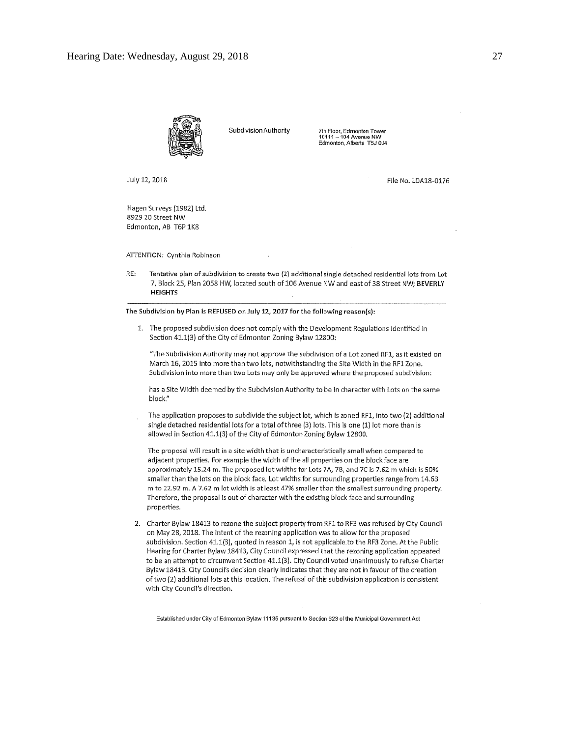

Subdivision Authority

7th Floor, Edmonton Tower<br>10111 - 104 Avenue NW<br>Edmonton, Alberta T5J 0J4

July 12, 2018

File No. LDA18-0176

Hagen Surveys (1982) Ltd. 8929 20 Street NW Edmonton, AB T6P 1K8

ATTENTION: Cynthia Robinson

RE: Tentative plan of subdivision to create two (2) additional single detached residential lots from Lot 7, Block 25, Plan 2058 HW, located south of 106 Avenue NW and east of 38 Street NW; BEVERLY **HEIGHTS** 

The Subdivision by Plan is REFUSED on July 12, 2017 for the following reason(s):

1. The proposed subdivision does not comply with the Development Regulations identified in Section 41.1(3) of the City of Edmonton Zoning Bylaw 12800:

"The Subdivision Authority may not approve the subdivision of a Lot zoned RF1, as it existed on March 16, 2015 into more than two lots, notwithstanding the Site Width in the RF1 Zone. Subdivision into more than two Lots may only be approved where the proposed subdivision:

has a Site Width deemed by the Subdivision Authority to be in character with Lots on the same block."

The application proposes to subdivide the subject lot, which is zoned RF1, into two (2) additional single detached residential lots for a total of three (3) lots. This is one (1) lot more than is allowed in Section 41.1(3) of the City of Edmonton Zoning Bylaw 12800.

The proposal will result in a site width that is uncharacteristically small when compared to adjacent properties. For example the width of the all properties on the block face are approximately 15.24 m. The proposed lot widths for Lots 7A, 7B, and 7C is 7.62 m which is 50% smaller than the lots on the block face. Lot widths for surrounding properties range from 14.63 m to 22.92 m. A 7.62 m lot width is at least 47% smaller than the smallest surrounding property. Therefore, the proposal is out of character with the existing block face and surrounding properties.

2. Charter Bylaw 18413 to rezone the subject property from RF1 to RF3 was refused by City Council on May 28, 2018. The intent of the rezoning application was to allow for the proposed subdivision. Section 41.1(3), quoted in reason 1, is not applicable to the RF3 Zone. At the Public Hearing for Charter Bylaw 18413, City Council expressed that the rezoning application appeared to be an attempt to circumvent Section 41.1(3). City Council voted unanimously to refuse Charter Bylaw 18413, City Council's decision clearly indicates that they are not in favour of the creation of two (2) additional lots at this location. The refusal of this subdivision application is consistent with City Council's direction.

Established under City of Edmonton Bylaw 11135 pursuant to Section 623 of the Municipal Government Act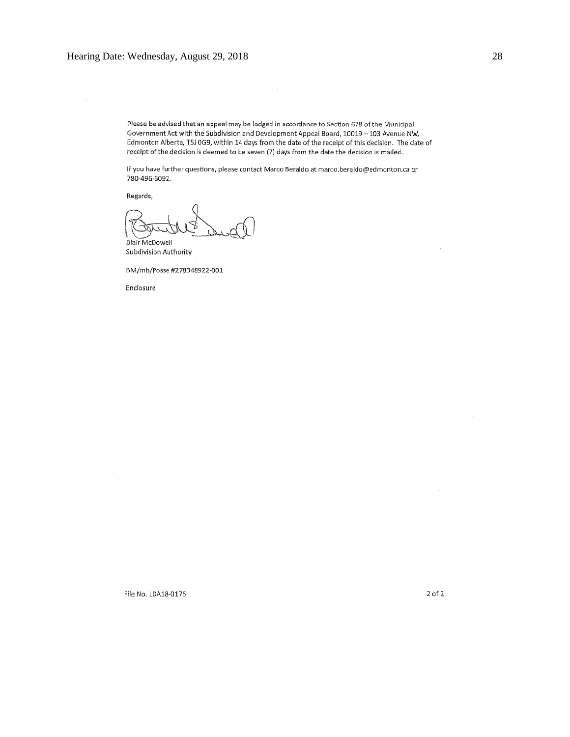Please be advised that an appeal may be lodged in accordance to Section 678 of the Municipal Government Act with the Subdivision and Development Appeal Board, 10019 - 103 Avenue NW, Edmonton Alberta, T5J 0G9, within 14 days from the date of the receipt of this decision. The date of receipt of the decision is deemed to be seven (7) days from the date the decision is mailed.

 $\cdot$ 

If you have further questions, please contact Marco Beraldo at marco.beraldo@edmonton.ca or 780-496-6092.

Regards,

**Blair McDowell** 

Subdivision Authority

BM/mb/Posse #278348922-001

Enclosure

2 of 2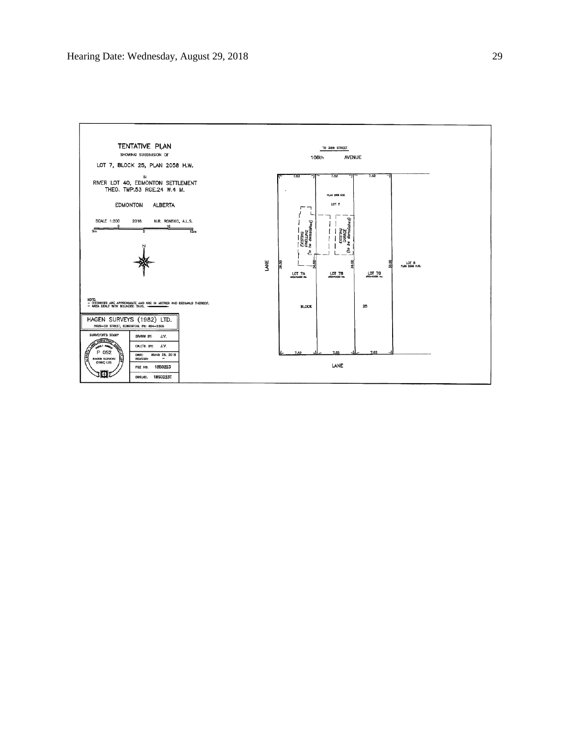